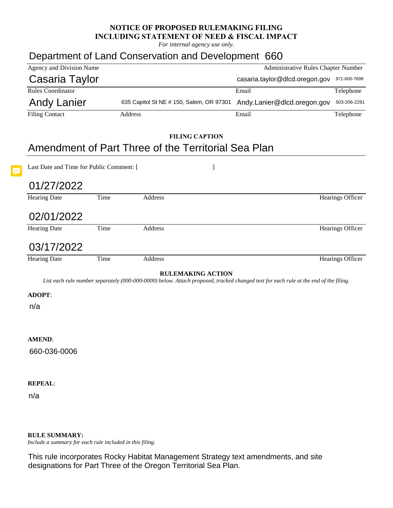## **NOTICE OF PROPOSED RULEMAKING FILING INCLUDING STATEMENT OF NEED & FISCAL IMPACT**

*For internal agency use only.*

## Department of Land Conservation and Development 660

| Agency and Division Name                                                                                                                                         |         |                                          |       | <b>Administrative Rules Chapter Number</b>  |                  |
|------------------------------------------------------------------------------------------------------------------------------------------------------------------|---------|------------------------------------------|-------|---------------------------------------------|------------------|
| Casaria Taylor                                                                                                                                                   |         |                                          |       | casaria.taylor@dlcd.oregon.gov 971-600-7699 |                  |
| Rules Coordinator                                                                                                                                                |         |                                          |       | Email                                       | Telephone        |
| <b>Andy Lanier</b>                                                                                                                                               |         | 635 Capitol St NE # 150, Salem, OR 97301 |       | Andy.Lanier@dlcd.oregon.gov                 | 503-206-2291     |
| <b>Filing Contact</b>                                                                                                                                            | Address |                                          | Email | Telephone                                   |                  |
|                                                                                                                                                                  |         |                                          |       |                                             |                  |
| <b>FILING CAPTION</b>                                                                                                                                            |         |                                          |       |                                             |                  |
| Amendment of Part Three of the Territorial Sea Plan                                                                                                              |         |                                          |       |                                             |                  |
| Last Date and Time for Public Comment: [<br>1                                                                                                                    |         |                                          |       |                                             |                  |
| 01/27/2022                                                                                                                                                       |         |                                          |       |                                             |                  |
| <b>Hearing Date</b>                                                                                                                                              | Time    | Address                                  |       |                                             | Hearings Officer |
| 02/01/2022                                                                                                                                                       |         |                                          |       |                                             |                  |
| <b>Hearing Date</b>                                                                                                                                              | Time    | Address                                  |       |                                             | Hearings Officer |
| 03/17/2022                                                                                                                                                       |         |                                          |       |                                             |                  |
| <b>Hearing Date</b>                                                                                                                                              | Time    | Address                                  |       |                                             | Hearings Officer |
| <b>RULEMAKING ACTION</b><br>List each rule number separately (000-000-0000) below. Attach proposed, tracked changed text for each rule at the end of the filing. |         |                                          |       |                                             |                  |
| <b>ADOPT:</b>                                                                                                                                                    |         |                                          |       |                                             |                  |
| n/a                                                                                                                                                              |         |                                          |       |                                             |                  |
|                                                                                                                                                                  |         |                                          |       |                                             |                  |
|                                                                                                                                                                  |         |                                          |       |                                             |                  |
| <b>AMEND:</b>                                                                                                                                                    |         |                                          |       |                                             |                  |
| 660-036-0006                                                                                                                                                     |         |                                          |       |                                             |                  |
|                                                                                                                                                                  |         |                                          |       |                                             |                  |
|                                                                                                                                                                  |         |                                          |       |                                             |                  |
| <b>REPEAL:</b>                                                                                                                                                   |         |                                          |       |                                             |                  |
| n/a                                                                                                                                                              |         |                                          |       |                                             |                  |
|                                                                                                                                                                  |         |                                          |       |                                             |                  |
|                                                                                                                                                                  |         |                                          |       |                                             |                  |

**RULE SUMMARY:** 

*Include a summary for each rule included in this filing.* 

This rule incorporates Rocky Habitat Management Strategy text amendments, and site designations for Part Three of the Oregon Territorial Sea Plan.